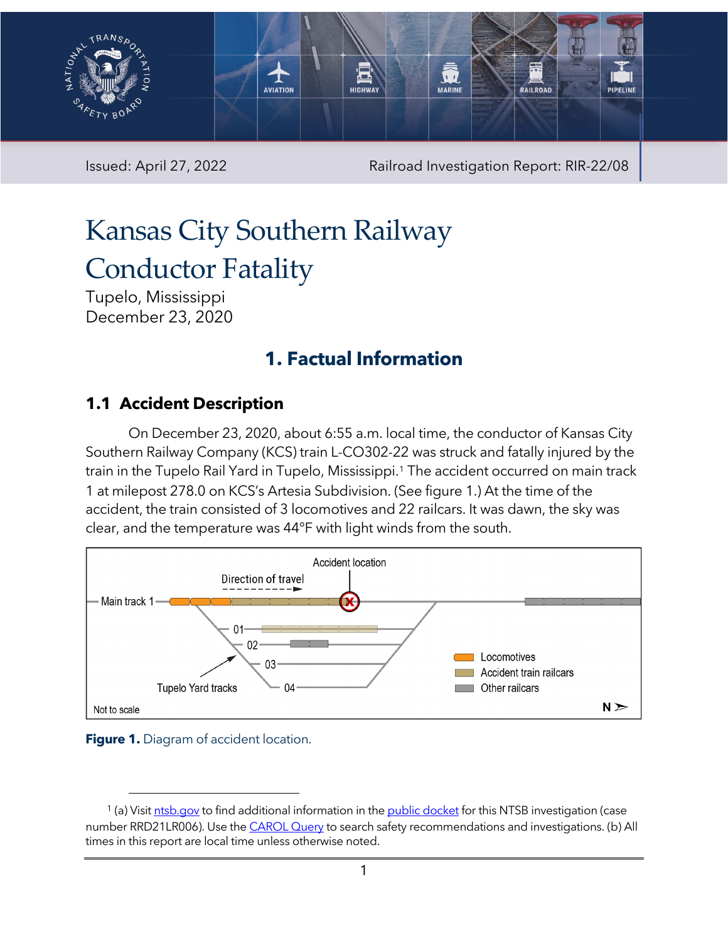

Issued: April 27, 2022 Railroad Investigation Report: RIR-22/08

# Kansas City Southern Railway Conductor Fatality

Tupelo, Mississippi December 23, 2020

# **1. Factual Information**

#### **1.1 Accident Description**

On December 23, 2020, about 6:55 a.m. local time, the conductor of Kansas City Southern Railway Company (KCS) train L-CO302-22 was struck and fatally injured by the train in the Tupelo Rail Yard in Tupelo, Mississippi.<sup>[1](#page-0-1)</sup> The accident occurred on main track 1 at milepost 278.0 on KCS's Artesia Subdivision. (See [figure 1.](#page-0-0)) At the time of the accident, the train consisted of 3 locomotives and 22 railcars. It was dawn, the sky was clear, and the temperature was 44°F with light winds from the south.



<span id="page-0-0"></span>

<span id="page-0-1"></span><sup>&</sup>lt;sup>1</sup> (a) Visi[t ntsb.gov](https://www.ntsb.gov/) to find additional information in the [public docket](https://data.ntsb.gov/Docket/Forms/searchdocket) for this NTSB investigation (case number RRD21LR006). Use the [CAROL Query](https://data.ntsb.gov/carol-main-public/basic-search) to search safety recommendations and investigations. (b) All times in this report are local time unless otherwise noted.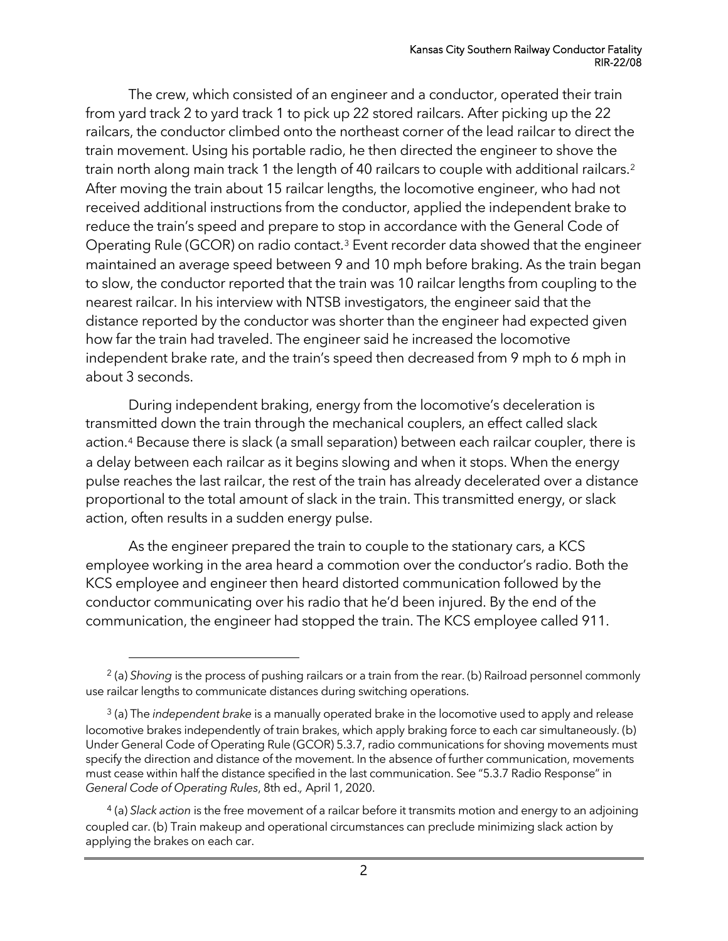The crew, which consisted of an engineer and a conductor, operated their train from yard track 2 to yard track 1 to pick up 22 stored railcars. After picking up the 22 railcars, the conductor climbed onto the northeast corner of the lead railcar to direct the train movement. Using his portable radio, he then directed the engineer to shove the train north along main track 1 the length of 40 railcars to couple with additional railcars.[2](#page-1-0) After moving the train about 15 railcar lengths, the locomotive engineer, who had not received additional instructions from the conductor, applied the independent brake to reduce the train's speed and prepare to stop in accordance with the General Code of Operating Rule (GCOR) on radio contact.[3](#page-1-1) Event recorder data showed that the engineer maintained an average speed between 9 and 10 mph before braking. As the train began to slow, the conductor reported that the train was 10 railcar lengths from coupling to the nearest railcar. In his interview with NTSB investigators, the engineer said that the distance reported by the conductor was shorter than the engineer had expected given how far the train had traveled. The engineer said he increased the locomotive independent brake rate, and the train's speed then decreased from 9 mph to 6 mph in about 3 seconds.

During independent braking, energy from the locomotive's deceleration is transmitted down the train through the mechanical couplers, an effect called slack action.[4](#page-1-2) Because there is slack (a small separation) between each railcar coupler, there is a delay between each railcar as it begins slowing and when it stops. When the energy pulse reaches the last railcar, the rest of the train has already decelerated over a distance proportional to the total amount of slack in the train. This transmitted energy, or slack action, often results in a sudden energy pulse.

As the engineer prepared the train to couple to the stationary cars, a KCS employee working in the area heard a commotion over the conductor's radio. Both the KCS employee and engineer then heard distorted communication followed by the conductor communicating over his radio that he'd been injured. By the end of the communication, the engineer had stopped the train. The KCS employee called 911.

<span id="page-1-0"></span><sup>&</sup>lt;sup>2</sup> (a) *Shoving* is the process of pushing railcars or a train from the rear. (b) Railroad personnel commonly use railcar lengths to communicate distances during switching operations.

<span id="page-1-1"></span><sup>3</sup> (a) The *independent brake* is a manually operated brake in the locomotive used to apply and release locomotive brakes independently of train brakes, which apply braking force to each car simultaneously. (b) Under General Code of Operating Rule (GCOR) 5.3.7, radio communications for shoving movements must specify the direction and distance of the movement. In the absence of further communication, movements must cease within half the distance specified in the last communication. See "5.3.7 Radio Response" in *General Code of Operating Rules*, 8th ed.*,* April 1, 2020.

<span id="page-1-2"></span><sup>4</sup> (a) *Slack action* is the free movement of a railcar before it transmits motion and energy to an adjoining coupled car. (b) Train makeup and operational circumstances can preclude minimizing slack action by applying the brakes on each car.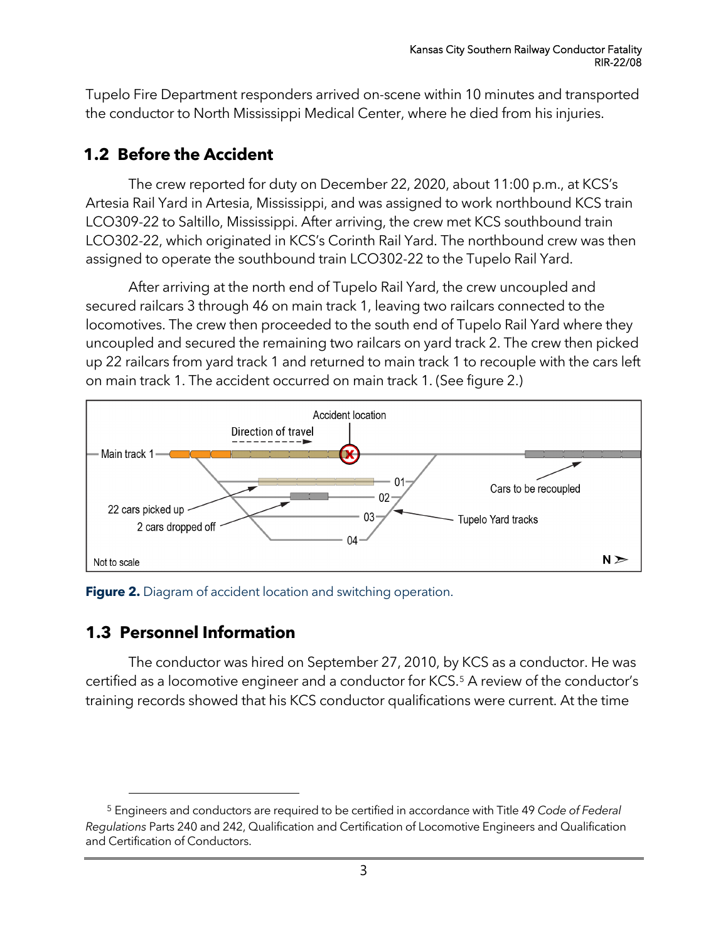Tupelo Fire Department responders arrived on-scene within 10 minutes and transported the conductor to North Mississippi Medical Center, where he died from his injuries.

### **1.2 Before the Accident**

The crew reported for duty on December 22, 2020, about 11:00 p.m., at KCS's Artesia Rail Yard in Artesia, Mississippi, and was assigned to work northbound KCS train LCO309-22 to Saltillo, Mississippi. After arriving, the crew met KCS southbound train LCO302-22, which originated in KCS's Corinth Rail Yard. The northbound crew was then assigned to operate the southbound train LCO302-22 to the Tupelo Rail Yard.

After arriving at the north end of Tupelo Rail Yard, the crew uncoupled and secured railcars 3 through 46 on main track 1, leaving two railcars connected to the locomotives. The crew then proceeded to the south end of Tupelo Rail Yard where they uncoupled and secured the remaining two railcars on yard track 2. The crew then picked up 22 railcars from yard track 1 and returned to main track 1 to recouple with the cars left on main track 1. The accident occurred on main track 1. (Se[e figure 2.](#page-2-0))



<span id="page-2-0"></span>**Figure 2.** Diagram of accident location and switching operation.

## **1.3 Personnel Information**

The conductor was hired on September 27, 2010, by KCS as a conductor. He was certified as a locomotive engineer and a conductor for KCS.<sup>[5](#page-2-1)</sup> A review of the conductor's training records showed that his KCS conductor qualifications were current. At the time

<span id="page-2-1"></span><sup>5</sup> Engineers and conductors are required to be certified in accordance with Title 49 *Code of Federal Regulations* Parts 240 and 242, Qualification and Certification of Locomotive Engineers and Qualification and Certification of Conductors.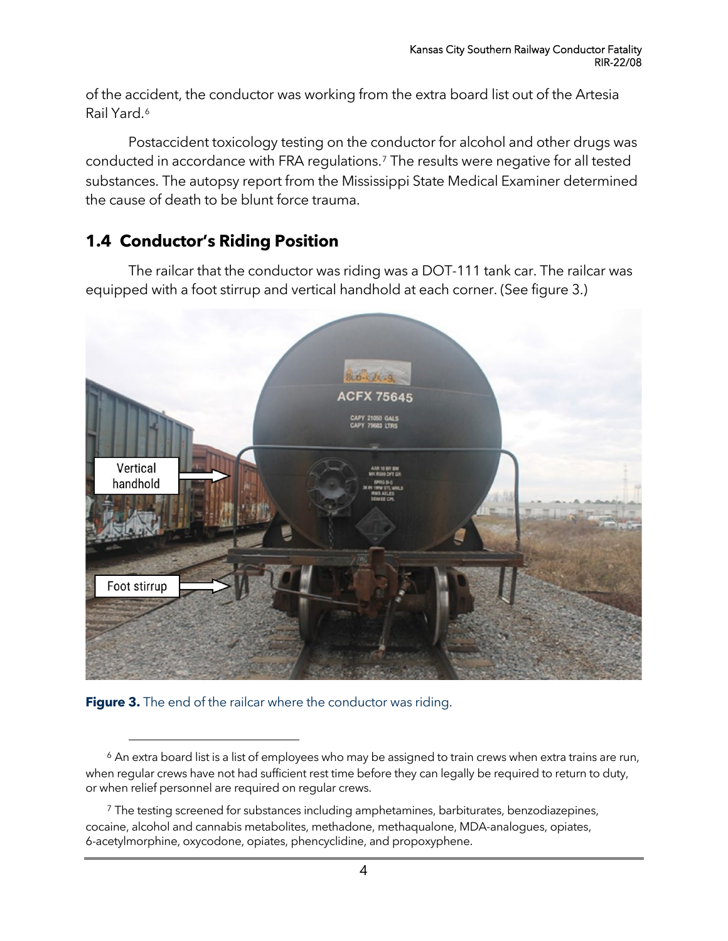of the accident, the conductor was working from the extra board list out of the Artesia Rail Yard.[6](#page-3-0)

Postaccident toxicology testing on the conductor for alcohol and other drugs was conducted in accordance with FRA regulations[.7](#page-3-1) The results were negative for all tested substances. The autopsy report from the Mississippi State Medical Examiner determined the cause of death to be blunt force trauma.

#### **1.4 Conductor's Riding Position**

The railcar that the conductor was riding was a DOT-111 tank car. The railcar was equipped with a foot stirrup and vertical handhold at each corner. (See figure 3.)



**Figure 3.** The end of the railcar where the conductor was riding.

<span id="page-3-0"></span><sup>&</sup>lt;sup>6</sup> An extra board list is a list of employees who may be assigned to train crews when extra trains are run, when regular crews have not had sufficient rest time before they can legally be required to return to duty, or when relief personnel are required on regular crews.

<span id="page-3-1"></span><sup>&</sup>lt;sup>7</sup> The testing screened for substances including amphetamines, barbiturates, benzodiazepines, cocaine, alcohol and cannabis metabolites, methadone, methaqualone, MDA-analogues, opiates, 6-acetylmorphine, oxycodone, opiates, phencyclidine, and propoxyphene.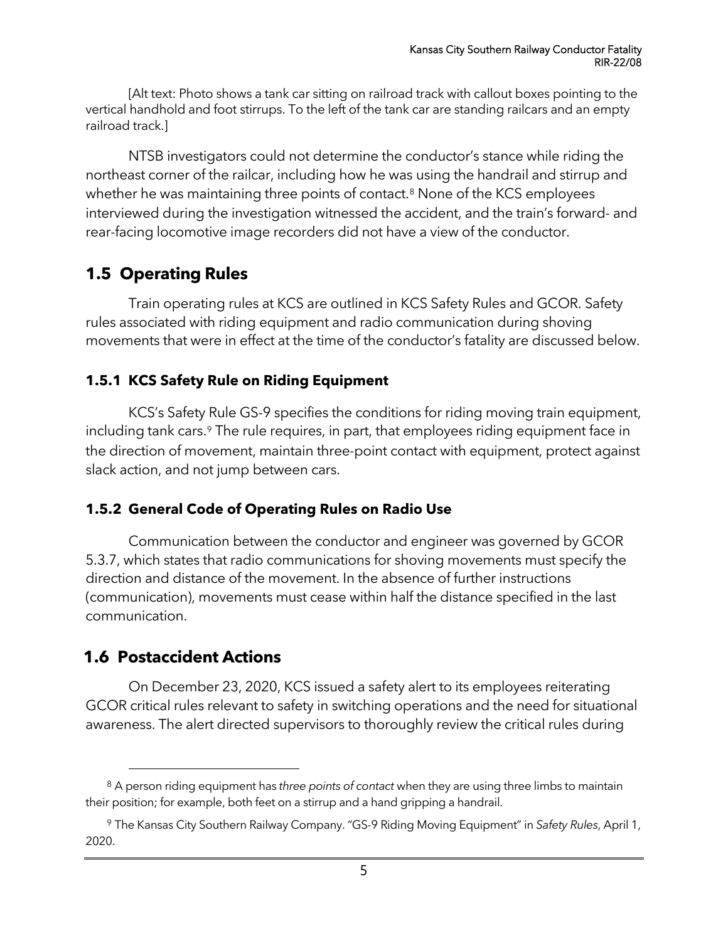[Alt text: Photo shows a tank car sitting on railroad track with callout boxes pointing to the vertical handhold and foot stirrups. To the left of the tank car are standing railcars and an empty railroad track.]

NTSB investigators could not determine the conductor's stance while riding the northeast corner of the railcar, including how he was using the handrail and stirrup and whether he was maintaining three points of contact.<sup>[8](#page-4-0)</sup> None of the KCS employees interviewed during the investigation witnessed the accident, and the train's forward- and rear-facing locomotive image recorders did not have a view of the conductor.

#### **1.5 Operating Rules**

Train operating rules at KCS are outlined in KCS Safety Rules and GCOR. Safety rules associated with riding equipment and radio communication during shoving movements that were in effect at the time of the conductor's fatality are discussed below.

#### **1.5.1 KCS Safety Rule on Riding Equipment**

KCS's Safety Rule GS-9 specifies the conditions for riding moving train equipment, including tank cars.<sup>[9](#page-4-1)</sup> The rule requires, in part, that employees riding equipment face in the direction of movement, maintain three-point contact with equipment, protect against slack action, and not jump between cars.

#### **1.5.2 General Code of Operating Rules on Radio Use**

Communication between the conductor and engineer was governed by GCOR 5.3.7, which states that radio communications for shoving movements must specify the direction and distance of the movement. In the absence of further instructions (communication), movements must cease within half the distance specified in the last communication.

#### **1.6 Postaccident Actions**

On December 23, 2020, KCS issued a safety alert to its employees reiterating GCOR critical rules relevant to safety in switching operations and the need for situational awareness. The alert directed supervisors to thoroughly review the critical rules during

<span id="page-4-0"></span><sup>8</sup> A person riding equipment has *three points of contact* when they are using three limbs to maintain their position; for example, both feet on a stirrup and a hand gripping a handrail.

<span id="page-4-1"></span><sup>9</sup> The Kansas City Southern Railway Company. "GS-9 Riding Moving Equipment" in *Safety Rules*, April 1, 2020.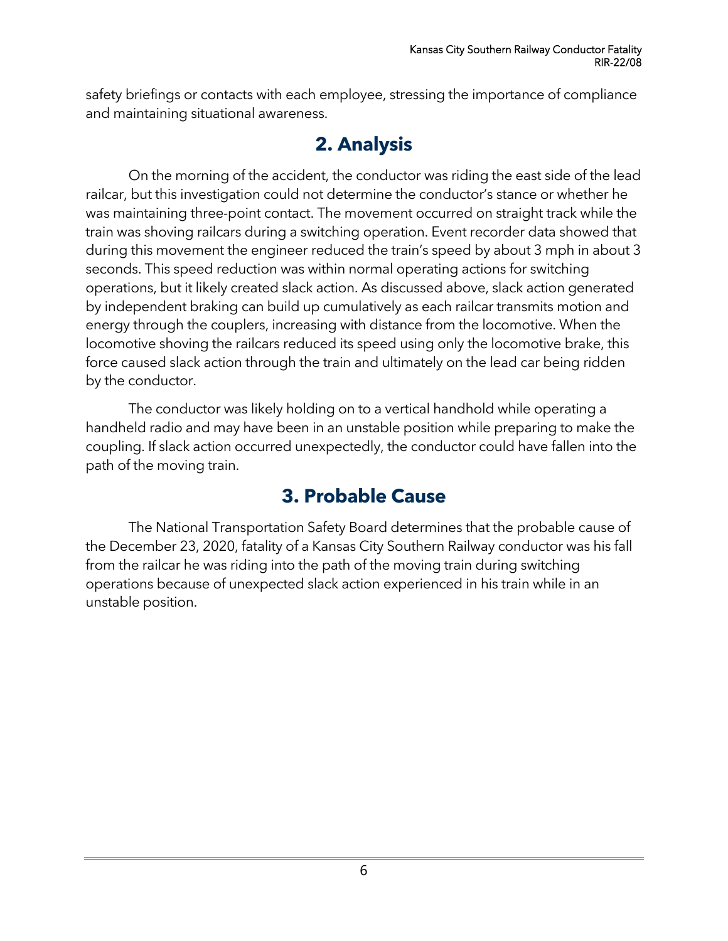safety briefings or contacts with each employee, stressing the importance of compliance and maintaining situational awareness.

# **2. Analysis**

On the morning of the accident, the conductor was riding the east side of the lead railcar, but this investigation could not determine the conductor's stance or whether he was maintaining three-point contact. The movement occurred on straight track while the train was shoving railcars during a switching operation. Event recorder data showed that during this movement the engineer reduced the train's speed by about 3 mph in about 3 seconds. This speed reduction was within normal operating actions for switching operations, but it likely created slack action. As discussed above, slack action generated by independent braking can build up cumulatively as each railcar transmits motion and energy through the couplers, increasing with distance from the locomotive. When the locomotive shoving the railcars reduced its speed using only the locomotive brake, this force caused slack action through the train and ultimately on the lead car being ridden by the conductor.

The conductor was likely holding on to a vertical handhold while operating a handheld radio and may have been in an unstable position while preparing to make the coupling. If slack action occurred unexpectedly, the conductor could have fallen into the path of the moving train.

# **3. Probable Cause**

The National Transportation Safety Board determines that the probable cause of the December 23, 2020, fatality of a Kansas City Southern Railway conductor was his fall from the railcar he was riding into the path of the moving train during switching operations because of unexpected slack action experienced in his train while in an unstable position.